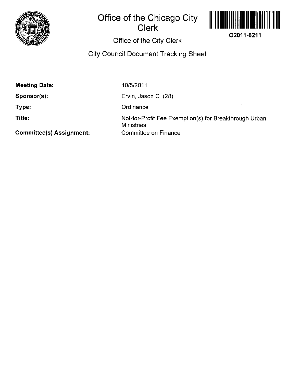

# **Office of the Chicago City Clerk**



# **Office of the City Clerk**

# **City Council Document Tracking Sheet**

**Meeting Date:** 

**Sponsor(s):** 

**Type:** 

**Title:** 

10/5/2011

Ervin, Jason C (28)

**Ordinance** 

Not-for-Profit Fee Exemption(s) for Breakthrough Urban **Ministries** Committee on Finance

**Committee(s) Assignment:**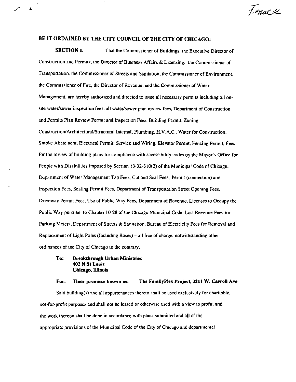France

### BE IT ORDAINED BY THE CITY COUNCIL OF THE CITY OF CHICAGO:

隆

**SECTION 1.** That the Commissioner of Buildings, the Executive Director of Construction and Permits, the Director of Business Affairs & Licensing, the Commissioner of Transportation, the Commissioner of Streets and Sanitation, the Commissioner of Environment, the Commissioner of Fire, the Director of Revenue, and the Commissioner of Water Management, are hereby authorized and directed to issue all necessary permits including all onsite water/sewer inspection fees, all water/sewer plan review fees. Department of Construction and Permits Plan Review Permit and Inspection Fees, Building Permit, Zoning Construction/Architectural/Structural Internal, Plumbing, H.V.A.C., Water for Construction, Smoke Abatement, Electrical Permit: Service and Wiring, Elevator Permit, Fencing Permit, Fees for the review of building plans for compliance with accessibility codes by the Mayor's Office for People with Disabilities imposed by Section 13-32-310(2) of the Municipal Code of Chicago, Department of Water Management Tap Fees, Cut and Seal Fees, Permit (connection) and Inspection Fees, Sealing Permit Fees, Department of Transportation Street Opening Fees, Driveway Permit Fees, Use of Public Way Fees, Department of Revenue, Licenses to Occupy the Public Way pursuant to Chapter 10-28 of the Chicago Municipal Code, Lost Revenue Fees for Parking Meters, Department of Streets & Sanitation, Bureau of Electricity Fees for Removal and Replacement of Light Poles (Including Bases) – all free of charge, notwithstanding other ordinances of the City of Chicago to the contrary,

### **Breakthrough Urban Ministries** To: 402 N St Louis **Chicago, Illinois**

#### The FamilyPlex Project, 3211 W. Carroll Ave For: Their premises known as:

Said building(s) and all appurtenances thereto shall be used exclusively for charitable, not-for-profit purposes and shall not be leased or otherwise used with a view to profit, and the work thereon shall be done in accordance with plans submitted and all of the appropriate provisions of the Municipal Code of the City of Chicago and departmental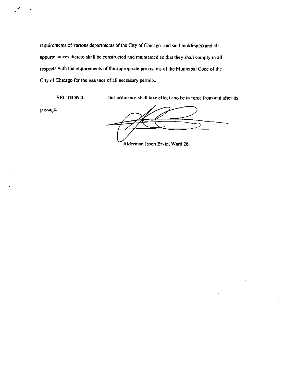requirements of various departments of the City of Chicago, and said building(s) and all appurtenances thereto shall be constructed and maintained so that they shall comply in all respects with the requirements of the appropriate provisions of the Municipal Code of the City of Chicago for the issuance of all necessary permits.

SECTION 2. This ordinance shall take effect and be in force from and after its

passage.

Alderman Jason Ervin, Ward 28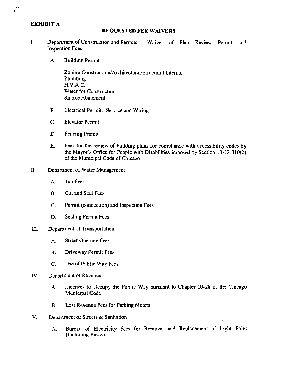## **EXHIBIT A**

### **REQUESTED FEE WAIVERS**

- 1. Department of Construction and Permits Waiver of Plan Review Permit and Inspection Fees
	- A. Buildmg Permit:

Zoning Construction/Architectural/Structural Internal Plumbing H.V.A.C. Water for Construction Smoke Abatement

- B. Electrical Permit: Service and Wiring
- C. Elevator Permit
- D Fencing Permit
- E. Fees for the review of building plans for compliance with accessibility codes by the Mayor's Office for People with Disabilities imposed by Section 13-32-310(2) of the Municipal Code of Chicago
- II, Department of Water Management
	- A. Tap Fees
	- B. Cut and Seal Fees
	- C. Permit (connection) and hispection Fees
	- D. Sealing Permit Fees
- UI. Department of Transportation
	- A. Street Opening Fees
	- B. Driveway Permit Fees
	- C. Use of Public Way Fees
- 1V. Department of Revenue
	- A. Licenses to Occupy the Public Way pursuant to Chapter 10-28 of the Chicago Municipal Code
	- B. Lost Revenue Fees for Parking Meters
- V, Department of Streets & Sanitation
	- A. Bureau of Electricity Fees for Removal and Replacement of Light Poles (Including Bases)

ູ້

 $\tilde{\mathbf{a}}$